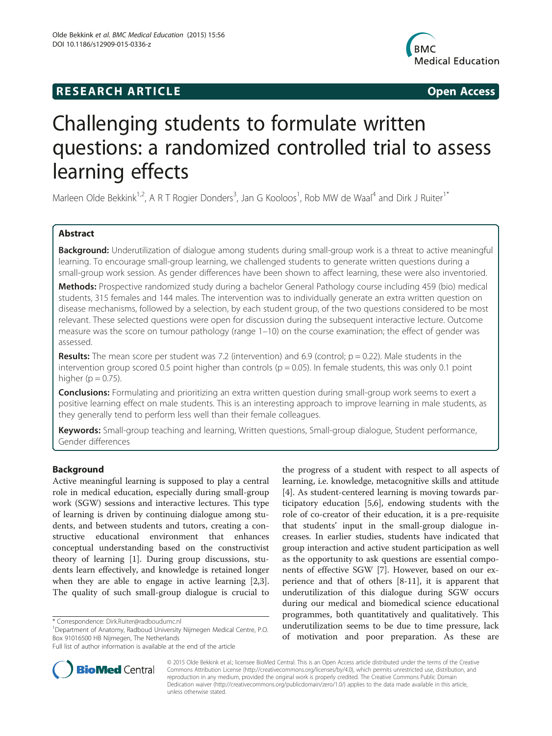# **RESEARCH ARTICLE Example 2014 12:30 The SEAR CHA RTICLE**



# Challenging students to formulate written questions: a randomized controlled trial to assess learning effects

Marleen Olde Bekkink<sup>1,2</sup>, A R T Rogier Donders<sup>3</sup>, Jan G Kooloos<sup>1</sup>, Rob MW de Waal<sup>4</sup> and Dirk J Ruiter<sup>1\*</sup>

# Abstract

Background: Underutilization of dialogue among students during small-group work is a threat to active meaningful learning. To encourage small-group learning, we challenged students to generate written questions during a small-group work session. As gender differences have been shown to affect learning, these were also inventoried.

Methods: Prospective randomized study during a bachelor General Pathology course including 459 (bio) medical students, 315 females and 144 males. The intervention was to individually generate an extra written question on disease mechanisms, followed by a selection, by each student group, of the two questions considered to be most relevant. These selected questions were open for discussion during the subsequent interactive lecture. Outcome measure was the score on tumour pathology (range 1–10) on the course examination; the effect of gender was assessed.

**Results:** The mean score per student was 7.2 (intervention) and 6.9 (control;  $p = 0.22$ ). Male students in the intervention group scored 0.5 point higher than controls ( $p = 0.05$ ). In female students, this was only 0.1 point higher ( $p = 0.75$ ).

**Conclusions:** Formulating and prioritizing an extra written question during small-group work seems to exert a positive learning effect on male students. This is an interesting approach to improve learning in male students, as they generally tend to perform less well than their female colleagues.

Keywords: Small-group teaching and learning, Written questions, Small-group dialogue, Student performance, Gender differences

# Background

Active meaningful learning is supposed to play a central role in medical education, especially during small-group work (SGW) sessions and interactive lectures. This type of learning is driven by continuing dialogue among students, and between students and tutors, creating a constructive educational environment that enhances conceptual understanding based on the constructivist theory of learning [[1\]](#page-5-0). During group discussions, students learn effectively, and knowledge is retained longer when they are able to engage in active learning [\[2,3](#page-5-0)]. The quality of such small-group dialogue is crucial to

the progress of a student with respect to all aspects of learning, i.e. knowledge, metacognitive skills and attitude [[4\]](#page-5-0). As student-centered learning is moving towards participatory education [[5](#page-5-0),[6](#page-5-0)], endowing students with the role of co-creator of their education, it is a pre-requisite that students' input in the small-group dialogue increases. In earlier studies, students have indicated that group interaction and active student participation as well as the opportunity to ask questions are essential components of effective SGW [[7\]](#page-5-0). However, based on our experience and that of others [\[8](#page-5-0)-[11\]](#page-5-0), it is apparent that underutilization of this dialogue during SGW occurs during our medical and biomedical science educational programmes, both quantitatively and qualitatively. This underutilization seems to be due to time pressure, lack of motivation and poor preparation. As these are



© 2015 Olde Bekkink et al.; licensee BioMed Central. This is an Open Access article distributed under the terms of the Creative Commons Attribution License [\(http://creativecommons.org/licenses/by/4.0\)](http://creativecommons.org/licenses/by/4.0), which permits unrestricted use, distribution, and reproduction in any medium, provided the original work is properly credited. The Creative Commons Public Domain Dedication waiver [\(http://creativecommons.org/publicdomain/zero/1.0/](http://creativecommons.org/publicdomain/zero/1.0/)) applies to the data made available in this article, unless otherwise stated.

<sup>\*</sup> Correspondence: [Dirk.Ruiter@radboudumc.nl](mailto:Dirk.Ruiter@radboudumc.nl) <sup>1</sup>

Department of Anatomy, Radboud University Nijmegen Medical Centre, P.O. Box 91016500 HB Nijmegen, The Netherlands

Full list of author information is available at the end of the article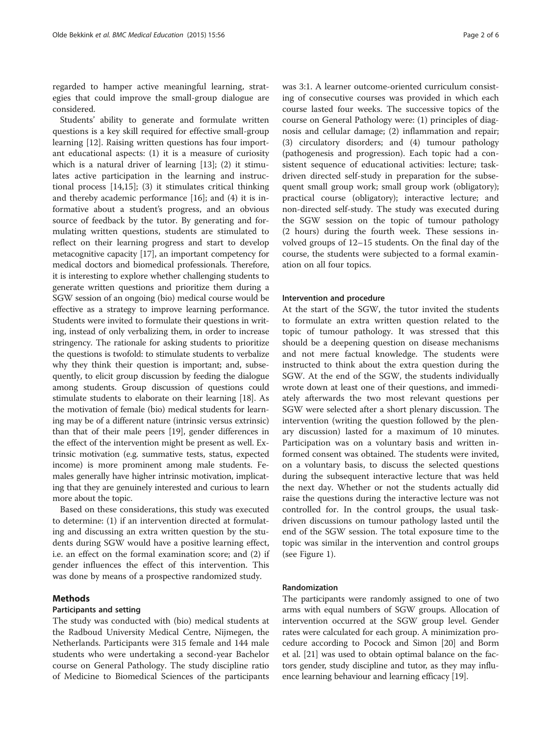regarded to hamper active meaningful learning, strategies that could improve the small-group dialogue are considered.

Students' ability to generate and formulate written questions is a key skill required for effective small-group learning [\[12](#page-5-0)]. Raising written questions has four important educational aspects: (1) it is a measure of curiosity which is a natural driver of learning [[13\]](#page-5-0); (2) it stimulates active participation in the learning and instructional process [[14,15\]](#page-5-0); (3) it stimulates critical thinking and thereby academic performance [[16](#page-5-0)]; and (4) it is informative about a student's progress, and an obvious source of feedback by the tutor. By generating and formulating written questions, students are stimulated to reflect on their learning progress and start to develop metacognitive capacity [\[17\]](#page-5-0), an important competency for medical doctors and biomedical professionals. Therefore, it is interesting to explore whether challenging students to generate written questions and prioritize them during a SGW session of an ongoing (bio) medical course would be effective as a strategy to improve learning performance. Students were invited to formulate their questions in writing, instead of only verbalizing them, in order to increase stringency. The rationale for asking students to prioritize the questions is twofold: to stimulate students to verbalize why they think their question is important; and, subsequently, to elicit group discussion by feeding the dialogue among students. Group discussion of questions could stimulate students to elaborate on their learning [\[18](#page-5-0)]. As the motivation of female (bio) medical students for learning may be of a different nature (intrinsic versus extrinsic) than that of their male peers [\[19\]](#page-5-0), gender differences in the effect of the intervention might be present as well. Extrinsic motivation (e.g. summative tests, status, expected income) is more prominent among male students. Females generally have higher intrinsic motivation, implicating that they are genuinely interested and curious to learn more about the topic.

Based on these considerations, this study was executed to determine: (1) if an intervention directed at formulating and discussing an extra written question by the students during SGW would have a positive learning effect, i.e. an effect on the formal examination score; and (2) if gender influences the effect of this intervention. This was done by means of a prospective randomized study.

#### Methods

#### Participants and setting

The study was conducted with (bio) medical students at the Radboud University Medical Centre, Nijmegen, the Netherlands. Participants were 315 female and 144 male students who were undertaking a second-year Bachelor course on General Pathology. The study discipline ratio of Medicine to Biomedical Sciences of the participants

was 3:1. A learner outcome-oriented curriculum consisting of consecutive courses was provided in which each course lasted four weeks. The successive topics of the course on General Pathology were: (1) principles of diagnosis and cellular damage; (2) inflammation and repair; (3) circulatory disorders; and (4) tumour pathology (pathogenesis and progression). Each topic had a consistent sequence of educational activities: lecture; taskdriven directed self-study in preparation for the subsequent small group work; small group work (obligatory); practical course (obligatory); interactive lecture; and non-directed self-study. The study was executed during the SGW session on the topic of tumour pathology (2 hours) during the fourth week. These sessions involved groups of 12–15 students. On the final day of the course, the students were subjected to a formal examination on all four topics.

#### Intervention and procedure

At the start of the SGW, the tutor invited the students to formulate an extra written question related to the topic of tumour pathology. It was stressed that this should be a deepening question on disease mechanisms and not mere factual knowledge. The students were instructed to think about the extra question during the SGW. At the end of the SGW, the students individually wrote down at least one of their questions, and immediately afterwards the two most relevant questions per SGW were selected after a short plenary discussion. The intervention (writing the question followed by the plenary discussion) lasted for a maximum of 10 minutes. Participation was on a voluntary basis and written informed consent was obtained. The students were invited, on a voluntary basis, to discuss the selected questions during the subsequent interactive lecture that was held the next day. Whether or not the students actually did raise the questions during the interactive lecture was not controlled for. In the control groups, the usual taskdriven discussions on tumour pathology lasted until the end of the SGW session. The total exposure time to the topic was similar in the intervention and control groups (see Figure [1](#page-2-0)).

#### Randomization

The participants were randomly assigned to one of two arms with equal numbers of SGW groups. Allocation of intervention occurred at the SGW group level. Gender rates were calculated for each group. A minimization procedure according to Pocock and Simon [\[20\]](#page-5-0) and Borm et al. [[21](#page-5-0)] was used to obtain optimal balance on the factors gender, study discipline and tutor, as they may influence learning behaviour and learning efficacy [[19](#page-5-0)].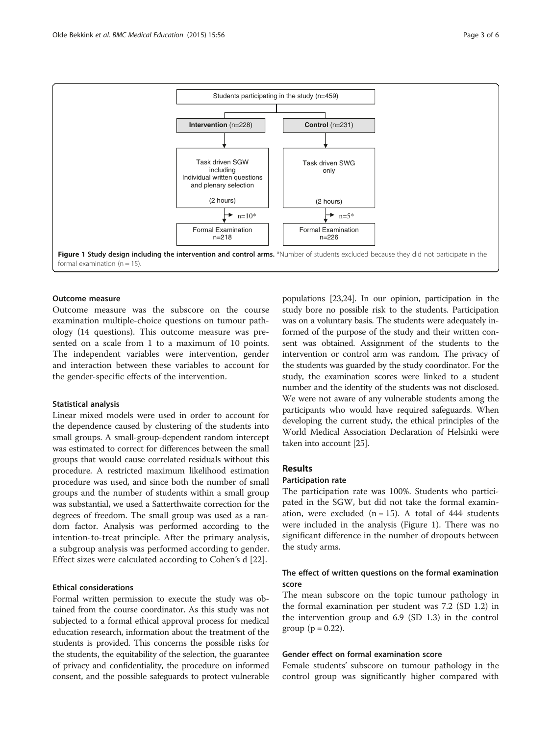<span id="page-2-0"></span>

# Outcome measure

Outcome measure was the subscore on the course examination multiple-choice questions on tumour pathology (14 questions). This outcome measure was presented on a scale from 1 to a maximum of 10 points. The independent variables were intervention, gender and interaction between these variables to account for the gender-specific effects of the intervention.

#### Statistical analysis

Linear mixed models were used in order to account for the dependence caused by clustering of the students into small groups. A small-group-dependent random intercept was estimated to correct for differences between the small groups that would cause correlated residuals without this procedure. A restricted maximum likelihood estimation procedure was used, and since both the number of small groups and the number of students within a small group was substantial, we used a Satterthwaite correction for the degrees of freedom. The small group was used as a random factor. Analysis was performed according to the intention-to-treat principle. After the primary analysis, a subgroup analysis was performed according to gender. Effect sizes were calculated according to Cohen's d [[22\]](#page-5-0).

#### Ethical considerations

Formal written permission to execute the study was obtained from the course coordinator. As this study was not subjected to a formal ethical approval process for medical education research, information about the treatment of the students is provided. This concerns the possible risks for the students, the equitability of the selection, the guarantee of privacy and confidentiality, the procedure on informed consent, and the possible safeguards to protect vulnerable

populations [[23,24\]](#page-5-0). In our opinion, participation in the study bore no possible risk to the students. Participation was on a voluntary basis. The students were adequately informed of the purpose of the study and their written consent was obtained. Assignment of the students to the intervention or control arm was random. The privacy of the students was guarded by the study coordinator. For the study, the examination scores were linked to a student number and the identity of the students was not disclosed. We were not aware of any vulnerable students among the participants who would have required safeguards. When developing the current study, the ethical principles of the World Medical Association Declaration of Helsinki were taken into account [\[25\]](#page-5-0).

# Results

# Participation rate

The participation rate was 100%. Students who participated in the SGW, but did not take the formal examination, were excluded  $(n = 15)$ . A total of 444 students were included in the analysis (Figure 1). There was no significant difference in the number of dropouts between the study arms.

# The effect of written questions on the formal examination score

The mean subscore on the topic tumour pathology in the formal examination per student was 7.2 (SD 1.2) in the intervention group and 6.9 (SD 1.3) in the control group  $(p = 0.22)$ .

#### Gender effect on formal examination score

Female students' subscore on tumour pathology in the control group was significantly higher compared with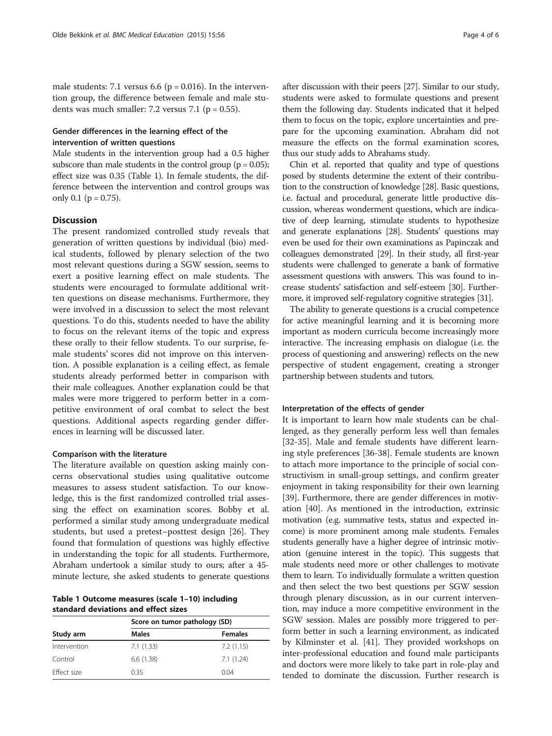male students: 7.1 versus 6.6 ( $p = 0.016$ ). In the intervention group, the difference between female and male students was much smaller: 7.2 versus 7.1 ( $p = 0.55$ ).

# Gender differences in the learning effect of the intervention of written questions

Male students in the intervention group had a 0.5 higher subscore than male students in the control group ( $p = 0.05$ ); effect size was 0.35 (Table 1). In female students, the difference between the intervention and control groups was only 0.1 ( $p = 0.75$ ).

#### **Discussion**

The present randomized controlled study reveals that generation of written questions by individual (bio) medical students, followed by plenary selection of the two most relevant questions during a SGW session, seems to exert a positive learning effect on male students. The students were encouraged to formulate additional written questions on disease mechanisms. Furthermore, they were involved in a discussion to select the most relevant questions. To do this, students needed to have the ability to focus on the relevant items of the topic and express these orally to their fellow students. To our surprise, female students' scores did not improve on this intervention. A possible explanation is a ceiling effect, as female students already performed better in comparison with their male colleagues. Another explanation could be that males were more triggered to perform better in a competitive environment of oral combat to select the best questions. Additional aspects regarding gender differences in learning will be discussed later.

#### Comparison with the literature

The literature available on question asking mainly concerns observational studies using qualitative outcome measures to assess student satisfaction. To our knowledge, this is the first randomized controlled trial assessing the effect on examination scores. Bobby et al. performed a similar study among undergraduate medical students, but used a pretest–posttest design [[26](#page-5-0)]. They found that formulation of questions was highly effective in understanding the topic for all students. Furthermore, Abraham undertook a similar study to ours; after a 45 minute lecture, she asked students to generate questions

Table 1 Outcome measures (scale 1–10) including standard deviations and effect sizes

| Study arm          | Score on tumor pathology (SD) |                |
|--------------------|-------------------------------|----------------|
|                    | <b>Males</b>                  | <b>Females</b> |
| Intervention       | 7.1(1.33)                     | 7.2(1.15)      |
| Control            | 6.6(1.38)                     | 7.1(1.24)      |
| <b>Effect size</b> | 035                           | 0.04           |

after discussion with their peers [\[27](#page-5-0)]. Similar to our study, students were asked to formulate questions and present them the following day. Students indicated that it helped them to focus on the topic, explore uncertainties and prepare for the upcoming examination. Abraham did not measure the effects on the formal examination scores, thus our study adds to Abrahams study.

Chin et al. reported that quality and type of questions posed by students determine the extent of their contribution to the construction of knowledge [[28](#page-5-0)]. Basic questions, i.e. factual and procedural, generate little productive discussion, whereas wonderment questions, which are indicative of deep learning, stimulate students to hypothesize and generate explanations [\[28\]](#page-5-0). Students' questions may even be used for their own examinations as Papinczak and colleagues demonstrated [\[29\]](#page-5-0). In their study, all first-year students were challenged to generate a bank of formative assessment questions with answers. This was found to increase students' satisfaction and self-esteem [\[30\]](#page-5-0). Furthermore, it improved self-regulatory cognitive strategies [[31](#page-5-0)].

The ability to generate questions is a crucial competence for active meaningful learning and it is becoming more important as modern curricula become increasingly more interactive. The increasing emphasis on dialogue (i.e. the process of questioning and answering) reflects on the new perspective of student engagement, creating a stronger partnership between students and tutors.

#### Interpretation of the effects of gender

It is important to learn how male students can be challenged, as they generally perform less well than females [[32-35](#page-5-0)]. Male and female students have different learning style preferences [\[36](#page-5-0)-[38\]](#page-5-0). Female students are known to attach more importance to the principle of social constructivism in small-group settings, and confirm greater enjoyment in taking responsibility for their own learning [[39\]](#page-5-0). Furthermore, there are gender differences in motivation [[40\]](#page-5-0). As mentioned in the introduction, extrinsic motivation (e.g. summative tests, status and expected income) is more prominent among male students. Females students generally have a higher degree of intrinsic motivation (genuine interest in the topic). This suggests that male students need more or other challenges to motivate them to learn. To individually formulate a written question and then select the two best questions per SGW session through plenary discussion, as in our current intervention, may induce a more competitive environment in the SGW session. Males are possibly more triggered to perform better in such a learning environment, as indicated by Kilminster et al. [\[41\]](#page-5-0). They provided workshops on inter-professional education and found male participants and doctors were more likely to take part in role-play and tended to dominate the discussion. Further research is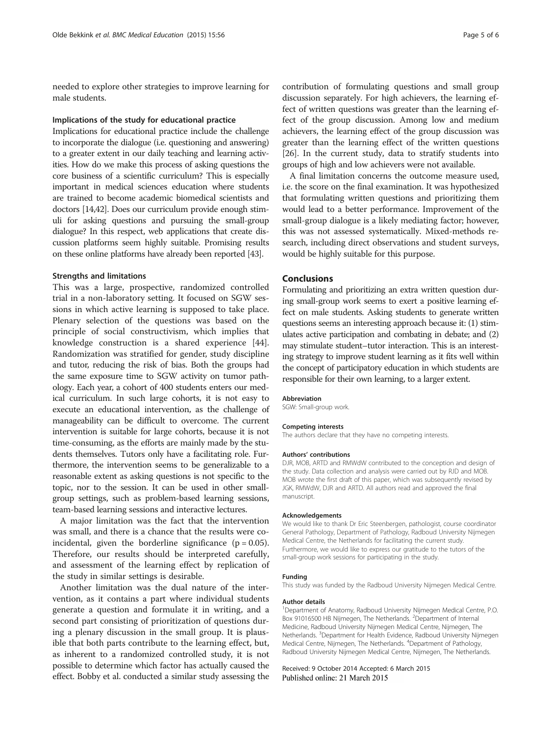needed to explore other strategies to improve learning for male students.

#### Implications of the study for educational practice

Implications for educational practice include the challenge to incorporate the dialogue (i.e. questioning and answering) to a greater extent in our daily teaching and learning activities. How do we make this process of asking questions the core business of a scientific curriculum? This is especially important in medical sciences education where students are trained to become academic biomedical scientists and doctors [[14,42\]](#page-5-0). Does our curriculum provide enough stimuli for asking questions and pursuing the small-group dialogue? In this respect, web applications that create discussion platforms seem highly suitable. Promising results on these online platforms have already been reported [\[43](#page-5-0)].

#### Strengths and limitations

This was a large, prospective, randomized controlled trial in a non-laboratory setting. It focused on SGW sessions in which active learning is supposed to take place. Plenary selection of the questions was based on the principle of social constructivism, which implies that knowledge construction is a shared experience [\[44](#page-5-0)]. Randomization was stratified for gender, study discipline and tutor, reducing the risk of bias. Both the groups had the same exposure time to SGW activity on tumor pathology. Each year, a cohort of 400 students enters our medical curriculum. In such large cohorts, it is not easy to execute an educational intervention, as the challenge of manageability can be difficult to overcome. The current intervention is suitable for large cohorts, because it is not time-consuming, as the efforts are mainly made by the students themselves. Tutors only have a facilitating role. Furthermore, the intervention seems to be generalizable to a reasonable extent as asking questions is not specific to the topic, nor to the session. It can be used in other smallgroup settings, such as problem-based learning sessions, team-based learning sessions and interactive lectures.

A major limitation was the fact that the intervention was small, and there is a chance that the results were coincidental, given the borderline significance  $(p = 0.05)$ . Therefore, our results should be interpreted carefully, and assessment of the learning effect by replication of the study in similar settings is desirable.

Another limitation was the dual nature of the intervention, as it contains a part where individual students generate a question and formulate it in writing, and a second part consisting of prioritization of questions during a plenary discussion in the small group. It is plausible that both parts contribute to the learning effect, but, as inherent to a randomized controlled study, it is not possible to determine which factor has actually caused the effect. Bobby et al. conducted a similar study assessing the

contribution of formulating questions and small group discussion separately. For high achievers, the learning effect of written questions was greater than the learning effect of the group discussion. Among low and medium achievers, the learning effect of the group discussion was greater than the learning effect of the written questions [[26](#page-5-0)]. In the current study, data to stratify students into groups of high and low achievers were not available.

A final limitation concerns the outcome measure used, i.e. the score on the final examination. It was hypothesized that formulating written questions and prioritizing them would lead to a better performance. Improvement of the small-group dialogue is a likely mediating factor; however, this was not assessed systematically. Mixed-methods research, including direct observations and student surveys, would be highly suitable for this purpose.

#### Conclusions

Formulating and prioritizing an extra written question during small-group work seems to exert a positive learning effect on male students. Asking students to generate written questions seems an interesting approach because it: (1) stimulates active participation and combating in debate; and (2) may stimulate student–tutor interaction. This is an interesting strategy to improve student learning as it fits well within the concept of participatory education in which students are responsible for their own learning, to a larger extent.

#### Abbreviation

SGW: Small-group work.

#### Competing interests

The authors declare that they have no competing interests.

#### Authors' contributions

DJR, MOB, ARTD and RMWdW contributed to the conception and design of the study. Data collection and analysis were carried out by RJD and MOB. MOB wrote the first draft of this paper, which was subsequently revised by JGK, RMWdW, DJR and ARTD. All authors read and approved the final manuscript.

#### Acknowledgements

We would like to thank Dr Eric Steenbergen, pathologist, course coordinator General Pathology, Department of Pathology, Radboud University Nijmegen Medical Centre, the Netherlands for facilitating the current study. Furthermore, we would like to express our gratitude to the tutors of the small-group work sessions for participating in the study.

#### Funding

This study was funded by the Radboud University Nijmegen Medical Centre.

#### Author details

<sup>1</sup>Department of Anatomy, Radboud University Nijmegen Medical Centre, P.O. Box 91016500 HB Nijmegen, The Netherlands. <sup>2</sup>Department of Internal Medicine, Radboud University Nijmegen Medical Centre, Nijmegen, The Netherlands. <sup>3</sup>Department for Health Evidence, Radboud University Nijmegen Medical Centre, Nijmegen, The Netherlands. <sup>4</sup>Department of Pathology Radboud University Nijmegen Medical Centre, Nijmegen, The Netherlands.

Received: 9 October 2014 Accepted: 6 March 2015 Published online: 21 March 2015